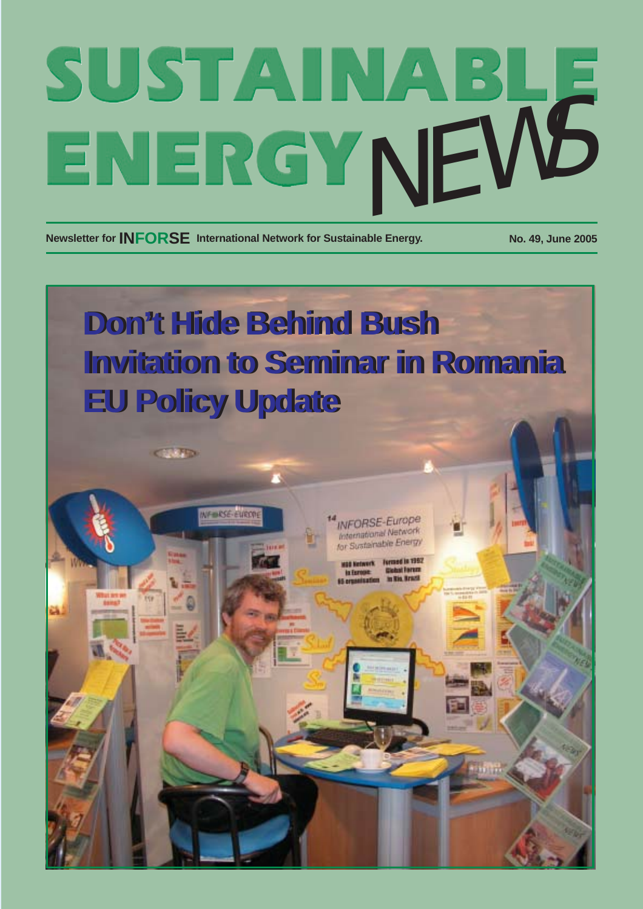# SUSTAINABLE

**Newsletter for INFORSE** International Network for Sustainable Energy. No. 49, June 2005

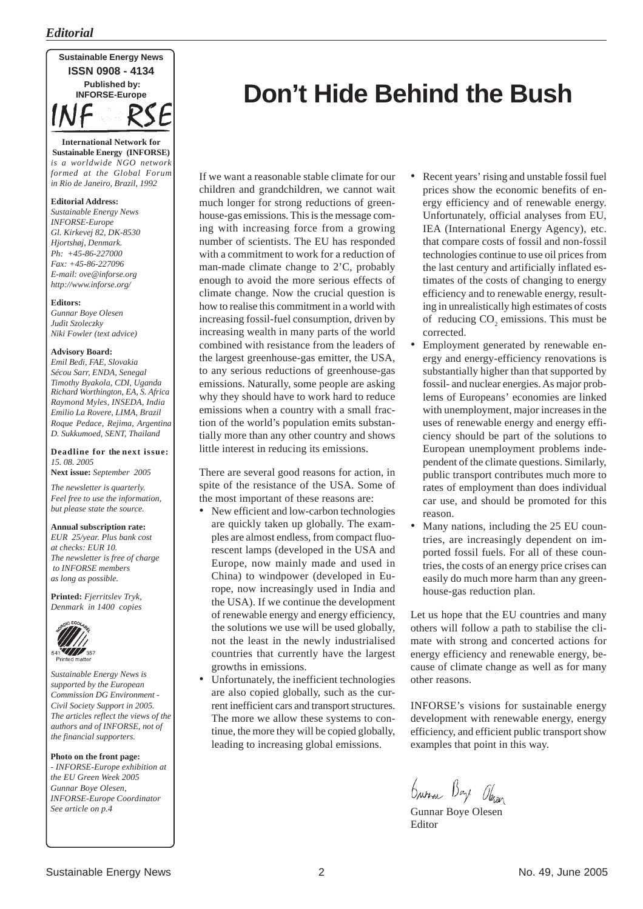

**International Network for Sustainable Energy (INFORSE)** *is a worldwide NGO network formed at the Global Forum in Rio de Janeiro, Brazil, 1992*

#### **Editorial Address:**

*Sustainable Energy News INFORSE-Europe Gl. Kirkevej 82, DK-8530 Hjortshøj, Denmark. Ph: +45-86-227000 Fax: +45-86-227096 E-mail: ove@inforse.org http://www.inforse.org/*

#### **Editors:**

*Gunnar Boye Olesen Judit Szoleczky Niki Fowler (text advice)*

#### **Advisory Board:**

*Emil Bedi, FAE, Slovakia Sécou Sarr, ENDA, Senegal Timothy Byakola, CDI, Uganda Richard Worthington, EA, S. Africa Raymond Myles, INSEDA, India Emilio La Rovere, LIMA, Brazil Roque Pedace, Rejima, Argentina D. Sukkumoed, SENT, Thailand*

**Deadline for the next issue:** *15. 08. 2005*

**Next issue:** *September 2005*

*The newsletter is quarterly. Feel free to use the information, but please state the source.*

#### **Annual subscription rate:**

*EUR 25/year. Plus bank cost at checks: EUR 10. The newsletter is free of charge to INFORSE members as long as possible.*

**Printed:** *Fjerritslev Tryk, Denmark in 1400 copies*



*Sustainable Energy News is supported by the European Commission DG Environment - Civil Society Support in 2005. The articles reflect the views of the authors and of INFORSE, not of the financial supporters.*

**Photo on the front page:** *- INFORSE-Europe exhibition at the EU Green Week 2005 Gunnar Boye Olesen, INFORSE-Europe Coordinator See article on p.4*

## **Don't Hide Behind the Bush**

If we want a reasonable stable climate for our children and grandchildren, we cannot wait much longer for strong reductions of greenhouse-gas emissions. This is the message coming with increasing force from a growing number of scientists. The EU has responded with a commitment to work for a reduction of man-made climate change to 2'C, probably enough to avoid the more serious effects of climate change. Now the crucial question is how to realise this commitment in a world with increasing fossil-fuel consumption, driven by increasing wealth in many parts of the world combined with resistance from the leaders of the largest greenhouse-gas emitter, the USA, to any serious reductions of greenhouse-gas emissions. Naturally, some people are asking why they should have to work hard to reduce emissions when a country with a small fraction of the world's population emits substantially more than any other country and shows little interest in reducing its emissions.

There are several good reasons for action, in spite of the resistance of the USA. Some of the most important of these reasons are:

- New efficient and low-carbon technologies are quickly taken up globally. The examples are almost endless, from compact fluorescent lamps (developed in the USA and Europe, now mainly made and used in China) to windpower (developed in Europe, now increasingly used in India and the USA). If we continue the development of renewable energy and energy efficiency, the solutions we use will be used globally, not the least in the newly industrialised countries that currently have the largest growths in emissions.
- Unfortunately, the inefficient technologies are also copied globally, such as the current inefficient cars and transport structures. The more we allow these systems to continue, the more they will be copied globally, leading to increasing global emissions.
- Recent years' rising and unstable fossil fuel prices show the economic benefits of energy efficiency and of renewable energy. Unfortunately, official analyses from EU, IEA (International Energy Agency), etc. that compare costs of fossil and non-fossil technologies continue to use oil prices from the last century and artificially inflated estimates of the costs of changing to energy efficiency and to renewable energy, resulting in unrealistically high estimates of costs of reducing  $CO<sub>2</sub>$  emissions. This must be corrected.
- Employment generated by renewable energy and energy-efficiency renovations is substantially higher than that supported by fossil- and nuclear energies. As major problems of Europeans' economies are linked with unemployment, major increases in the uses of renewable energy and energy efficiency should be part of the solutions to European unemployment problems independent of the climate questions. Similarly, public transport contributes much more to rates of employment than does individual car use, and should be promoted for this reason.
- Many nations, including the 25 EU countries, are increasingly dependent on imported fossil fuels. For all of these countries, the costs of an energy price crises can easily do much more harm than any greenhouse-gas reduction plan.

Let us hope that the EU countries and many others will follow a path to stabilise the climate with strong and concerted actions for energy efficiency and renewable energy, because of climate change as well as for many other reasons.

INFORSE's visions for sustainable energy development with renewable energy, energy efficiency, and efficient public transport show examples that point in this way.

Burnar Baye Oleven

Gunnar Boye Olesen Editor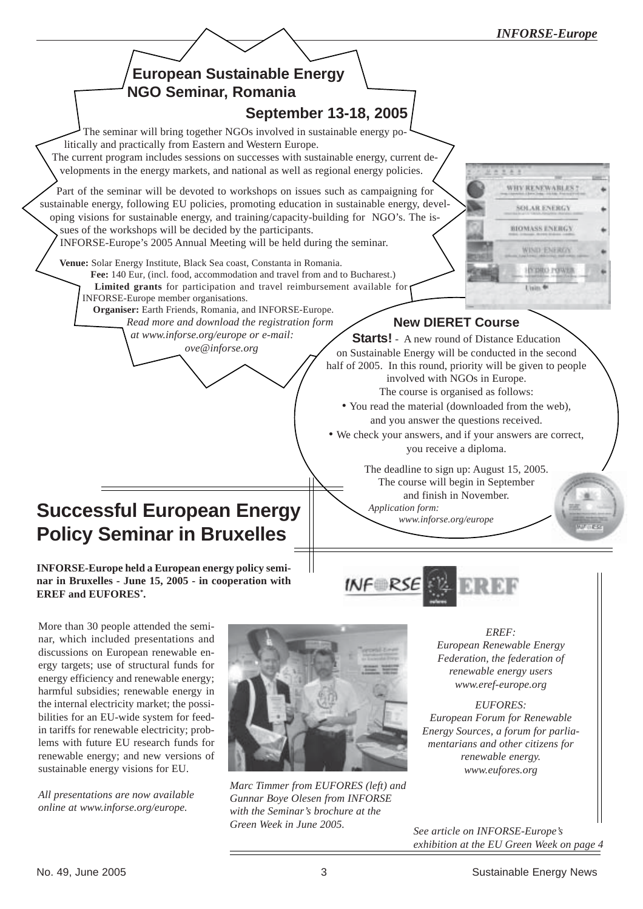

More than 30 people attended the seminar, which included presentations and discussions on European renewable energy targets; use of structural funds for energy efficiency and renewable energy; harmful subsidies; renewable energy in the internal electricity market; the possibilities for an EU-wide system for feedin tariffs for renewable electricity; problems with future EU research funds for renewable energy; and new versions of sustainable energy visions for EU.

*All presentations are now available online at www.inforse.org/europe.*



*Marc Timmer from EUFORES (left) and Gunnar Boye Olesen from INFORSE with the Seminar's brochure at the Green Week in June 2005.*

*EREF: European Renewable Energy Federation, the federation of renewable energy users www.eref-europe.org*

*EUFORES: European Forum for Renewable Energy Sources, a forum for parliamentarians and other citizens for renewable energy. www.eufores.org*

*See article on INFORSE-Europe's exhibition at the EU Green Week on page 4*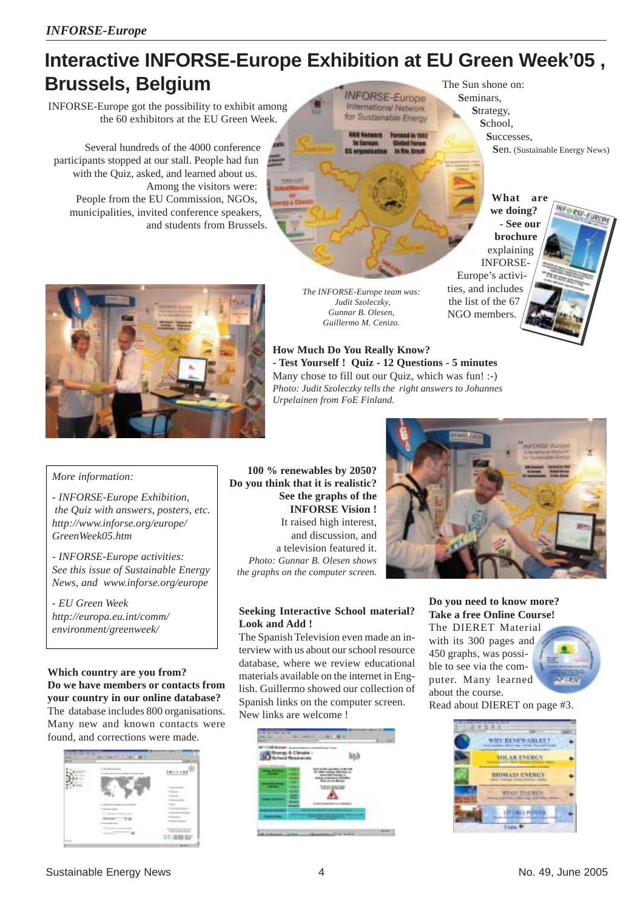#### **Interactive INFORSE-Europe Exhibition at EU Green Week'05 , Brussels, Belgium** The Sun shone on: **S**eminars,

INFORSE-Europe got the possibility to exhibit among the 60 exhibitors at the EU Green Week.

Several hundreds of the 4000 conference participants stopped at our stall. People had fun with the Quiz, asked, and learned about us. Among the visitors were: People from the EU Commission, NGOs, municipalities, invited conference speakers, and students from Brussels. **INFORSE-Europe** International Natwork for Sustainable Energy

**HOS Network For** 

**S**chool, **S**uccesses, **S**en. (Sustainable Energy News)

**S**trategy,

**What are we doing?** - **See our brochure** explaining INFORSE-Europe's activities, and includes the list of the 67 NGO members.



*The INFORSE-Europe team was: Judit Szoleczky, Gunnar B. Olesen, Guillermo M. Cenizo.*

#### **How Much Do You Really Know? - Test Yourself ! Quiz - 12 Questions - 5 minutes** Many chose to fill out our Quiz, which was fun! :-) *Photo: Judit Szoleczky tells the right answers to Johannes Urpelainen from FoE Finland.*

#### *More information:*

*- INFORSE-Europe Exhibition, the Quiz with answers, posters, etc. http://www.inforse.org/europe/ GreenWeek05.htm*

*- INFORSE-Europe activities: See this issue of Sustainable Energy News, and www.inforse.org/europe*

*- EU Green Week http://europa.eu.int/comm/ environment/greenweek/*

**Which country are you from? Do we have members or contacts from your country in our online database?** The database includes 800 organisations. Many new and known contacts were found, and corrections were made.



**100 % renewables by 2050? Do you think that it is realistic? See the graphs of the INFORSE Vision !** It raised high interest, and discussion, and a television featured it.  *Photo: Gunnar B. Olesen shows the graphs on the computer screen.*

#### **Seeking Interactive School material? Look and Add !**

The Spanish Television even made an interview with us about our school resource database, where we review educational materials available on the internet in English. Guillermo showed our collection of Spanish links on the computer screen. New links are welcome !





#### **Do you need to know more? Take a free Online Course!**

The DIERET Material with its 300 pages and 450 graphs, was possible to see via the computer. Many learned about the course.



Read about DIERET on page #3.

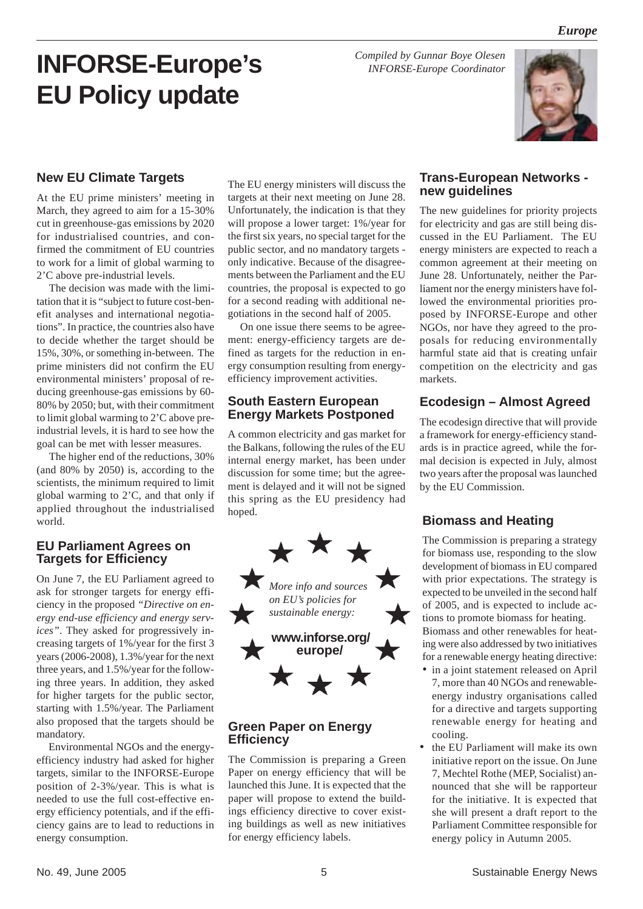# *Compiled by Gunnar Boye Olesen* **INFORSE-Europe's** *INFORSE-Europe Coordinator* **EU Policy update**



#### **New EU Climate Targets**

At the EU prime ministers' meeting in March, they agreed to aim for a 15-30% cut in greenhouse-gas emissions by 2020 for industrialised countries, and confirmed the commitment of EU countries to work for a limit of global warming to 2'C above pre-industrial levels.

The decision was made with the limitation that it is "subject to future cost-benefit analyses and international negotiations". In practice, the countries also have to decide whether the target should be 15%, 30%, or something in-between. The prime ministers did not confirm the EU environmental ministers' proposal of reducing greenhouse-gas emissions by 60- 80% by 2050; but, with their commitment to limit global warming to 2'C above preindustrial levels, it is hard to see how the goal can be met with lesser measures.

The higher end of the reductions, 30% (and 80% by 2050) is, according to the scientists, the minimum required to limit global warming to 2'C, and that only if applied throughout the industrialised world.

#### **EU Parliament Agrees on Targets for Efficiency**

On June 7, the EU Parliament agreed to ask for stronger targets for energy efficiency in the proposed *"Directive on energy end-use efficiency and energy services"*. They asked for progressively increasing targets of 1%/year for the first 3 years (2006-2008), 1.3%/year for the next three years, and 1.5%/year for the following three years. In addition, they asked for higher targets for the public sector, starting with 1.5%/year. The Parliament also proposed that the targets should be mandatory.

Environmental NGOs and the energyefficiency industry had asked for higher targets, similar to the INFORSE-Europe position of 2-3%/year. This is what is needed to use the full cost-effective energy efficiency potentials, and if the efficiency gains are to lead to reductions in energy consumption.

The EU energy ministers will discuss the targets at their next meeting on June 28. Unfortunately, the indication is that they will propose a lower target: 1%/year for the first six years, no special target for the public sector, and no mandatory targets only indicative. Because of the disagreements between the Parliament and the EU countries, the proposal is expected to go for a second reading with additional negotiations in the second half of 2005.

On one issue there seems to be agreement: energy-efficiency targets are defined as targets for the reduction in energy consumption resulting from energyefficiency improvement activities.

#### **South Eastern European Energy Markets Postponed**

A common electricity and gas market for the Balkans, following the rules of the EU internal energy market, has been under discussion for some time; but the agreement is delayed and it will not be signed this spring as the EU presidency had hoped.



#### **Green Paper on Energy Efficiency**

The Commission is preparing a Green Paper on energy efficiency that will be launched this June. It is expected that the paper will propose to extend the buildings efficiency directive to cover existing buildings as well as new initiatives for energy efficiency labels.

#### **Trans-European Networks new guidelines**

The new guidelines for priority projects for electricity and gas are still being discussed in the EU Parliament. The EU energy ministers are expected to reach a common agreement at their meeting on June 28. Unfortunately, neither the Parliament nor the energy ministers have followed the environmental priorities proposed by INFORSE-Europe and other NGOs, nor have they agreed to the proposals for reducing environmentally harmful state aid that is creating unfair competition on the electricity and gas markets.

#### **Ecodesign – Almost Agreed**

The ecodesign directive that will provide a framework for energy-efficiency standards is in practice agreed, while the formal decision is expected in July, almost two years after the proposal was launched by the EU Commission.

#### **Biomass and Heating**

The Commission is preparing a strategy for biomass use, responding to the slow development of biomass in EU compared with prior expectations. The strategy is expected to be unveiled in the second half of 2005, and is expected to include actions to promote biomass for heating. Biomass and other renewables for heating were also addressed by two initiatives for a renewable energy heating directive:

- in a joint statement released on April 7, more than 40 NGOs and renewableenergy industry organisations called for a directive and targets supporting renewable energy for heating and cooling.
- the EU Parliament will make its own initiative report on the issue. On June 7, Mechtel Rothe (MEP, Socialist) announced that she will be rapporteur for the initiative. It is expected that she will present a draft report to the Parliament Committee responsible for energy policy in Autumn 2005.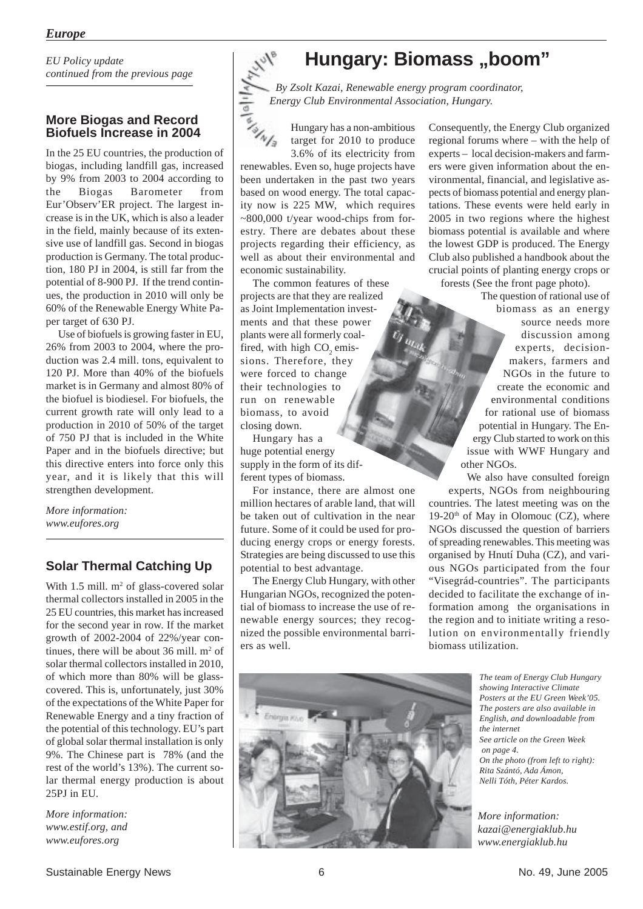#### *EU Policy update continued from the previous page*

#### **More Biogas and Record Biofuels Increase in 2004**

In the 25 EU countries, the production of biogas, including landfill gas, increased by 9% from 2003 to 2004 according to the Biogas Barometer from Eur'Observ'ER project. The largest increase is in the UK, which is also a leader in the field, mainly because of its extensive use of landfill gas. Second in biogas production is Germany. The total production, 180 PJ in 2004, is still far from the potential of 8-900 PJ. If the trend continues, the production in 2010 will only be 60% of the Renewable Energy White Paper target of 630 PJ.

Use of biofuels is growing faster in EU, 26% from 2003 to 2004, where the production was 2.4 mill. tons, equivalent to 120 PJ. More than 40% of the biofuels market is in Germany and almost 80% of the biofuel is biodiesel. For biofuels, the current growth rate will only lead to a production in 2010 of 50% of the target of 750 PJ that is included in the White Paper and in the biofuels directive; but this directive enters into force only this year, and it is likely that this will strengthen development.

*More information: www.eufores.org*

#### **Solar Thermal Catching Up**

With  $1.5$  mill.  $m<sup>2</sup>$  of glass-covered solar thermal collectors installed in 2005 in the 25 EU countries, this market has increased for the second year in row. If the market growth of 2002-2004 of 22%/year continues, there will be about 36 mill.  $m^2$  of solar thermal collectors installed in 2010, of which more than 80% will be glasscovered. This is, unfortunately, just 30% of the expectations of the White Paper for Renewable Energy and a tiny fraction of the potential of this technology. EU's part of global solar thermal installation is only 9%. The Chinese part is 78% (and the rest of the world's 13%). The current solar thermal energy production is about 25PJ in EU.

*More information: www.estif.org, and www.eufores.org*

# **Hungary: Biomass "boom" FRICHT FRICHT CONSET AND THE PRICE CALL AND THE PRICE OF THE PRICE OF A PART COORDINATOR**



Hungary has a non-ambitious target for 2010 to produce 3.6% of its electricity from

renewables. Even so, huge projects have been undertaken in the past two years based on wood energy. The total capacity now is 225 MW, which requires ~800,000 t/year wood-chips from forestry. There are debates about these projects regarding their efficiency, as well as about their environmental and economic sustainability.

The common features of these projects are that they are realized as Joint Implementation investments and that these power plants were all formerly coalfired, with high CO<sub>2</sub> emissions. Therefore, they were forced to change their technologies to run on renewable biomass, to avoid closing down.

Hungary has a huge potential energy supply in the form of its different types of biomass.

For instance, there are almost one million hectares of arable land, that will be taken out of cultivation in the near future. Some of it could be used for producing energy crops or energy forests. Strategies are being discussed to use this potential to best advantage.

The Energy Club Hungary, with other Hungarian NGOs, recognized the potential of biomass to increase the use of renewable energy sources; they recognized the possible environmental barriers as well.

Consequently, the Energy Club organized regional forums where – with the help of experts – local decision-makers and farmers were given information about the environmental, financial, and legislative aspects of biomass potential and energy plantations. These events were held early in 2005 in two regions where the highest biomass potential is available and where the lowest GDP is produced. The Energy Club also published a handbook about the crucial points of planting energy crops or

forests (See the front page photo). The question of rational use of

biomass as an energy source needs more discussion among experts, decisionmakers, farmers and NGOs in the future to create the economic and environmental conditions for rational use of biomass potential in Hungary. The Energy Club started to work on this issue with WWF Hungary and other NGOs.

We also have consulted foreign experts, NGOs from neighbouring countries. The latest meeting was on the 19-20<sup>th</sup> of May in Olomouc (CZ), where NGOs discussed the question of barriers of spreading renewables. This meeting was organised by Hnutí Duha (CZ), and various NGOs participated from the four "Visegrád-countries". The participants decided to facilitate the exchange of information among the organisations in the region and to initiate writing a resolution on environmentally friendly biomass utilization.



*The team of Energy Club Hungary showing Interactive Climate Posters at the EU Green Week'05. The posters are also available in English, and downloadable from the internet See article on the Green Week on page 4. On the photo (from left to right): Rita Szántó, Ada Ámon, Nelli Tóth, Péter Kardos.*

*More information: kazai@energiaklub.hu www.energiaklub.hu*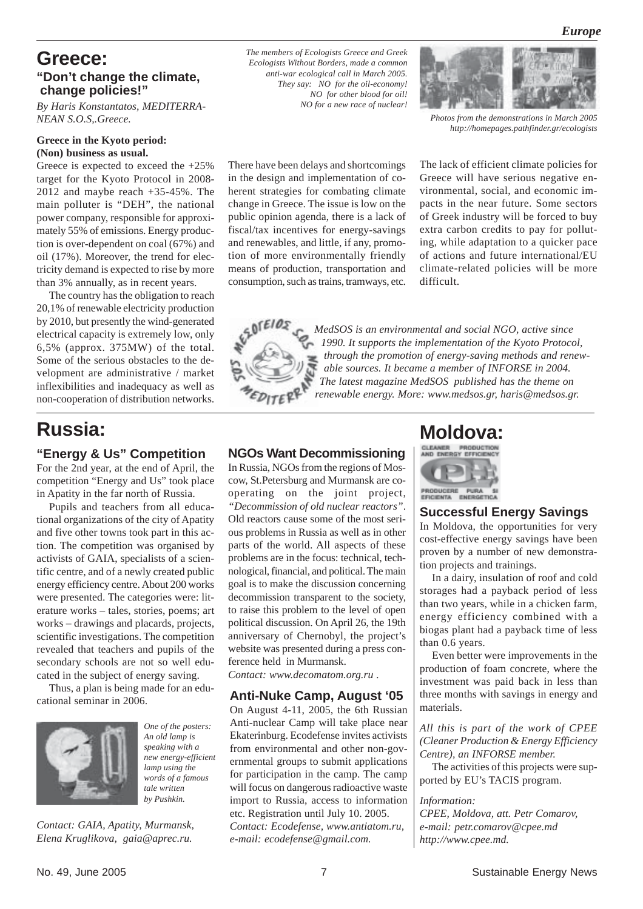#### **Greece: "Don't change the climate, change policies!"**

*By Haris Konstantatos, MEDITERRA-NEAN S.O.S,.Greece.*

#### **Greece in the Kyoto period: (Non) business as usual.**

Greece is expected to exceed the  $+25\%$ target for the Kyoto Protocol in 2008- 2012 and maybe reach +35-45%. The main polluter is "DEH", the national power company, responsible for approximately 55% of emissions. Energy production is over-dependent on coal (67%) and oil (17%). Moreover, the trend for electricity demand is expected to rise by more than 3% annually, as in recent years.

The country has the obligation to reach 20,1% of renewable electricity production by 2010, but presently the wind-generated electrical capacity is extremely low, only 6,5% (approx. 375MW) of the total. Some of the serious obstacles to the development are administrative / market inflexibilities and inadequacy as well as non-cooperation of distribution networks.

## **Russia:**

#### **"Energy & Us" Competition**

For the 2nd year, at the end of April, the competition "Energy and Us" took place in Apatity in the far north of Russia.

Pupils and teachers from all educational organizations of the city of Apatity and five other towns took part in this action. The competition was organised by activists of GAIA, specialists of a scientific centre, and of a newly created public energy efficiency centre. About 200 works were presented. The categories were: literature works – tales, stories, poems; art works – drawings and placards, projects, scientific investigations. The competition revealed that teachers and pupils of the secondary schools are not so well educated in the subject of energy saving.

Thus, a plan is being made for an educational seminar in 2006.



*One of the posters: An old lamp is speaking with a new energy-efficient lamp using the words of a famous tale written by Pushkin.*

*Contact: GAIA, Apatity, Murmansk, Elena Kruglikova, gaia@aprec.ru.*

*The members of Ecologists Greece and Greek Ecologists Without Borders, made a common anti-war ecological call in March 2005. They say: NO for the oil-economy! NO for other blood for oil! NO for a new race of nuclear!*



*Photos from the demonstrations in March 2005 http://homepages.pathfinder.gr/ecologists*

There have been delays and shortcomings in the design and implementation of coherent strategies for combating climate change in Greece. The issue is low on the public opinion agenda, there is a lack of fiscal/tax incentives for energy-savings and renewables, and little, if any, promotion of more environmentally friendly means of production, transportation and consumption, such as trains, tramways, etc.

The lack of efficient climate policies for Greece will have serious negative environmental, social, and economic impacts in the near future. Some sectors of Greek industry will be forced to buy extra carbon credits to pay for polluting, while adaptation to a quicker pace of actions and future international/EU climate-related policies will be more difficult.



*MedSOS is an environmental and social NGO, active since 1990. It supports the implementation of the Kyoto Protocol, through the promotion of energy-saving methods and renewable sources. It became a member of INFORSE in 2004. The latest magazine MedSOS published has the theme on renewable energy. More: www.medsos.gr, haris@medsos.gr.*

#### **NGOs Want Decommissioning**

In Russia, NGOs from the regions of Moscow, St.Petersburg and Murmansk are cooperating on the joint project, *"Decommission of old nuclear reactors"*. Old reactors cause some of the most serious problems in Russia as well as in other parts of the world. All aspects of these problems are in the focus: technical, technological, financial, and political. The main goal is to make the discussion concerning decommission transparent to the society, to raise this problem to the level of open political discussion. On April 26, the 19th anniversary of Chernobyl, the project's website was presented during a press conference held in Murmansk.

*Contact: www.decomatom.org.ru .*

#### **Anti-Nuke Camp, August '05**

On August 4-11, 2005, the 6th Russian Anti-nuclear Camp will take place near Ekaterinburg. Ecodefense invites activists from environmental and other non-governmental groups to submit applications for participation in the camp. The camp will focus on dangerous radioactive waste import to Russia, access to information etc. Registration until July 10. 2005. *Contact: Ecodefense, www.antiatom.ru, e-mail: ecodefense@gmail.com.*

## **Moldova:**



#### **Successful Energy Savings**

In Moldova, the opportunities for very cost-effective energy savings have been proven by a number of new demonstration projects and trainings.

In a dairy, insulation of roof and cold storages had a payback period of less than two years, while in a chicken farm, energy efficiency combined with a biogas plant had a payback time of less than 0.6 years.

Even better were improvements in the production of foam concrete, where the investment was paid back in less than three months with savings in energy and materials.

*All this is part of the work of CPEE (Cleaner Production & Energy Efficiency Centre), an INFORSE member.*

The activities of this projects were supported by EU's TACIS program.

#### *Information:*

*CPEE, Moldova, att. Petr Comarov, e-mail: petr.comarov@cpee.md http://www.cpee.md.*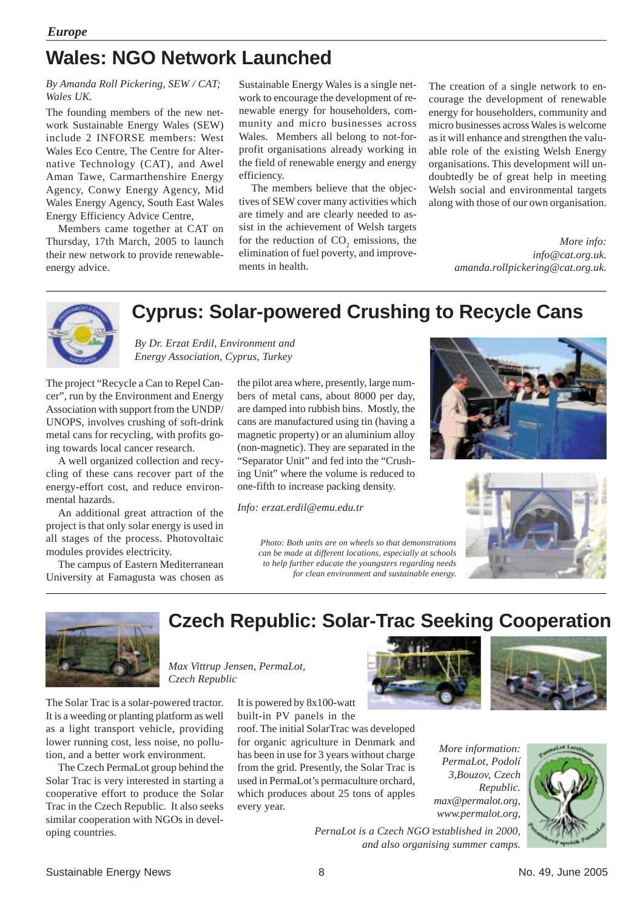## **Wales: NGO Network Launched**

#### *By Amanda Roll Pickering, SEW / CAT; Wales UK.*

The founding members of the new network Sustainable Energy Wales (SEW) include 2 INFORSE members: West Wales Eco Centre, The Centre for Alternative Technology (CAT), and Awel Aman Tawe, Carmarthenshire Energy Agency, Conwy Energy Agency, Mid Wales Energy Agency, South East Wales Energy Efficiency Advice Centre,

Members came together at CAT on Thursday, 17th March, 2005 to launch their new network to provide renewableenergy advice.

Sustainable Energy Wales is a single network to encourage the development of renewable energy for householders, community and micro businesses across Wales. Members all belong to not-forprofit organisations already working in the field of renewable energy and energy efficiency.

The members believe that the objectives of SEW cover many activities which are timely and are clearly needed to assist in the achievement of Welsh targets for the reduction of  $CO_2$  emissions, the elimination of fuel poverty, and improvements in health.

The creation of a single network to encourage the development of renewable energy for householders, community and micro businesses across Wales is welcome as it will enhance and strengthen the valuable role of the existing Welsh Energy organisations. This development will undoubtedly be of great help in meeting Welsh social and environmental targets along with those of our own organisation.

> *More info: info@cat.org.uk. amanda.rollpickering@cat.org.uk.*



## **Cyprus: Solar-powered Crushing to Recycle Cans**

*By Dr. Erzat Erdil, Environment and Energy Association, Cyprus, Turkey*

The project "Recycle a Can to Repel Cancer", run by the Environment and Energy Association with support from the UNDP/ UNOPS, involves crushing of soft-drink metal cans for recycling, with profits going towards local cancer research.

A well organized collection and recycling of these cans recover part of the energy-effort cost, and reduce environmental hazards.

An additional great attraction of the project is that only solar energy is used in all stages of the process. Photovoltaic modules provides electricity.

The campus of Eastern Mediterranean University at Famagusta was chosen as

the pilot area where, presently, large numbers of metal cans, about 8000 per day, are damped into rubbish bins. Mostly, the cans are manufactured using tin (having a magnetic property) or an aluminium alloy (non-magnetic). They are separated in the "Separator Unit" and fed into the "Crushing Unit" where the volume is reduced to one-fifth to increase packing density.

*Info: erzat.erdil@emu.edu.tr*

*Photo: Both units are on wheels so that demonstrations can be made at different locations, especially at schools to help further educate the youngsters regarding needs for clean environment and sustainable energy.*







## **Czech Republic: Solar-Trac Seeking Cooperation**

*Max Vittrup Jensen, PermaLot, Czech Republic*

The Solar Trac is a solar-powered tractor. It is a weeding or planting platform as well as a light transport vehicle, providing lower running cost, less noise, no pollution, and a better work environment.

The Czech PermaLot group behind the Solar Trac is very interested in starting a cooperative effort to produce the Solar Trac in the Czech Republic. It also seeks similar cooperation with NGOs in developing countries.

It is powered by 8x100-watt built-in PV panels in the

roof. The initial SolarTrac was developed for organic agriculture in Denmark and has been in use for 3 years without charge from the grid. Presently, the Solar Trac is used in PermaLot's permaculture orchard, which produces about 25 tons of apples every year.





*More information: PermaLot, Podolí 3,Bouzov, Czech Republic. max@permalot.org, www.permalot.org,*

*. PernaLot is a Czech NGO established in 2000, and also organising summer camps.*

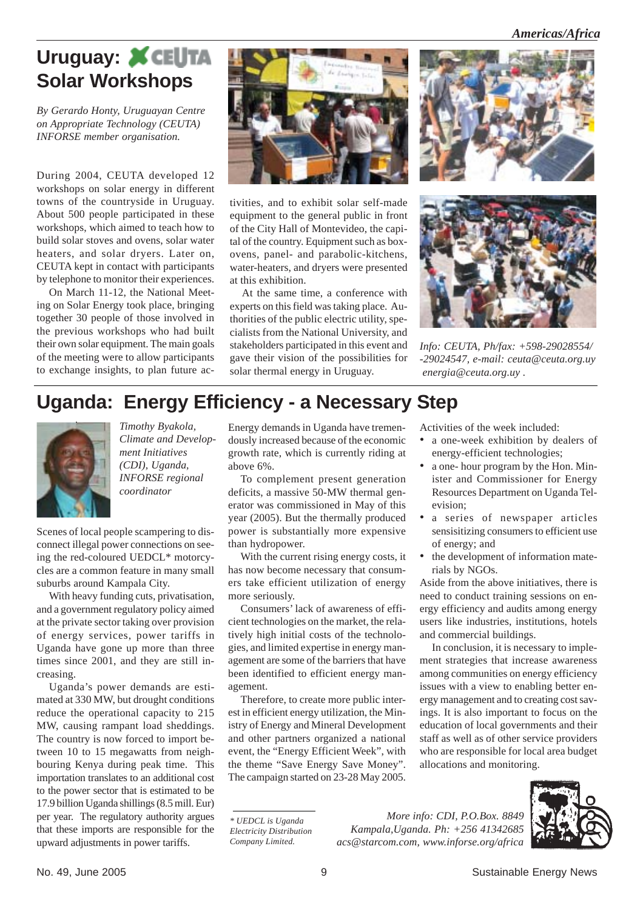#### *Americas/Africa*

## **Uruguay: X CEUTA Solar Workshops**

*By Gerardo Honty, Uruguayan Centre on Appropriate Technology (CEUTA) INFORSE member organisation.*

During 2004, CEUTA developed 12 workshops on solar energy in different towns of the countryside in Uruguay. About 500 people participated in these workshops, which aimed to teach how to build solar stoves and ovens, solar water heaters, and solar dryers. Later on, CEUTA kept in contact with participants by telephone to monitor their experiences.

On March 11-12, the National Meeting on Solar Energy took place, bringing together 30 people of those involved in the previous workshops who had built their own solar equipment. The main goals of the meeting were to allow participants to exchange insights, to plan future ac-



tivities, and to exhibit solar self-made equipment to the general public in front of the City Hall of Montevideo, the capital of the country. Equipment such as boxovens, panel- and parabolic-kitchens, water-heaters, and dryers were presented at this exhibition.

At the same time, a conference with experts on this field was taking place. Authorities of the public electric utility, specialists from the National University, and stakeholders participated in this event and gave their vision of the possibilities for solar thermal energy in Uruguay.





*Info: CEUTA, Ph/fax: +598-29028554/ -29024547, e-mail: ceuta@ceuta.org.uy energia@ceuta.org.uy .*

## **Uganda: Energy Efficiency - a Necessary Step**



*Timothy Byakola, Climate and Development Initiatives (CDI), Uganda, INFORSE regional coordinator*

Scenes of local people scampering to disconnect illegal power connections on seeing the red-coloured UEDCL\* motorcycles are a common feature in many small suburbs around Kampala City.

With heavy funding cuts, privatisation, and a government regulatory policy aimed at the private sector taking over provision of energy services, power tariffs in Uganda have gone up more than three times since 2001, and they are still increasing.

Uganda's power demands are estimated at 330 MW, but drought conditions reduce the operational capacity to 215 MW, causing rampant load sheddings. The country is now forced to import between 10 to 15 megawatts from neighbouring Kenya during peak time. This importation translates to an additional cost to the power sector that is estimated to be 17.9 billion Uganda shillings (8.5 mill. Eur) per year. The regulatory authority argues that these imports are responsible for the upward adjustments in power tariffs.

Energy demands in Uganda have tremendously increased because of the economic growth rate, which is currently riding at above 6%.

To complement present generation deficits, a massive 50-MW thermal generator was commissioned in May of this year (2005). But the thermally produced power is substantially more expensive than hydropower.

With the current rising energy costs, it has now become necessary that consumers take efficient utilization of energy more seriously.

Consumers' lack of awareness of efficient technologies on the market, the relatively high initial costs of the technologies, and limited expertise in energy management are some of the barriers that have been identified to efficient energy management.

Therefore, to create more public interest in efficient energy utilization, the Ministry of Energy and Mineral Development and other partners organized a national event, the "Energy Efficient Week", with the theme "Save Energy Save Money". The campaign started on 23-28 May 2005.

*\* UEDCL is Uganda Electricity Distribution Company Limited.*

Activities of the week included:

- a one-week exhibition by dealers of energy-efficient technologies;
- a one- hour program by the Hon. Minister and Commissioner for Energy Resources Department on Uganda Television;
- a series of newspaper articles sensisitizing consumers to efficient use of energy; and
- the development of information materials by NGOs.

Aside from the above initiatives, there is need to conduct training sessions on energy efficiency and audits among energy users like industries, institutions, hotels and commercial buildings.

In conclusion, it is necessary to implement strategies that increase awareness among communities on energy efficiency issues with a view to enabling better energy management and to creating cost savings. It is also important to focus on the education of local governments and their staff as well as of other service providers who are responsible for local area budget allocations and monitoring.

*More info: CDI, P.O.Box. 8849*

*Kampala,Uganda. Ph: +256 41342685 acs@starcom.com, www.inforse.org/africa*

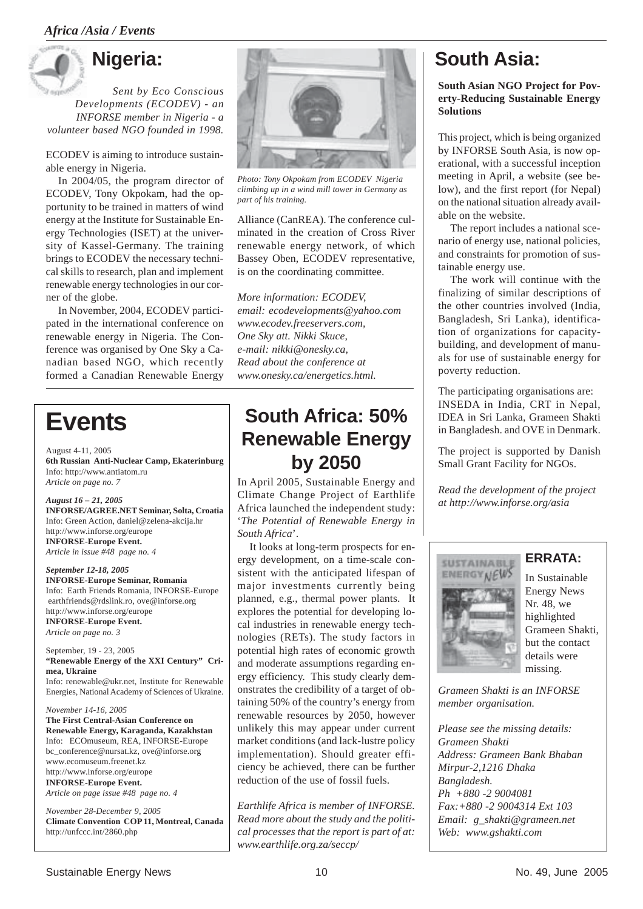

*Sent by Eco Conscious Developments (ECODEV) - an INFORSE member in Nigeria - a volunteer based NGO founded in 1998.*

ECODEV is aiming to introduce sustainable energy in Nigeria.

In 2004/05, the program director of ECODEV, Tony Okpokam, had the opportunity to be trained in matters of wind energy at the Institute for Sustainable Energy Technologies (ISET) at the university of Kassel-Germany. The training brings to ECODEV the necessary technical skills to research, plan and implement renewable energy technologies in our corner of the globe.

In November, 2004, ECODEV participated in the international conference on renewable energy in Nigeria. The Conference was organised by One Sky a Canadian based NGO, which recently formed a Canadian Renewable Energy



*Photo: Tony Okpokam from ECODEV Nigeria climbing up in a wind mill tower in Germany as part of his training.*

Alliance (CanREA). The conference culminated in the creation of Cross River renewable energy network, of which Bassey Oben, ECODEV representative, is on the coordinating committee.

*More information: ECODEV, email: ecodevelopments@yahoo.com www.ecodev.freeservers.com, One Sky att. Nikki Skuce, e-mail: nikki@onesky.ca, Read about the conference at www.onesky.ca/energetics.html.*

# **Events**

August 4-11, 2005 **6th Russian Anti-Nuclear Camp, Ekaterinburg** Info: http://www.antiatom.ru *Article on page no. 7*

*August 16 – 21, 2005* **INFORSE/AGREE.NET Seminar, Solta, Croatia** Info: Green Action, daniel@zelena-akcija.hr http://www.inforse.org/europe **INFORSE-Europe Event.** *Article in issue #48 page no. 4*

*September 12-18, 2005* **INFORSE-Europe Seminar, Romania** Info: Earth Friends Romania, INFORSE-Europe earthfriends@rdslink.ro, ove@inforse.org http://www.inforse.org/europe **INFORSE-Europe Event.** *Article on page no. 3*

September, 19 - 23, 2005 **"Renewable Energy of the XXI Century" Crimea, Ukraine** Info: renewable@ukr.net, Institute for Renewable Energies, National Academy of Sciences of Ukraine.

*November 14-16, 2005* **The First Central-Asian Conference on Renewable Energy, Karaganda, Kazakhstan** Info: ECOmuseum, REA, INFORSE-Europe bc\_conference@nursat.kz, ove@inforse.org www.ecomuseum.freenet.kz http://www.inforse.org/europe **INFORSE-Europe Event.** *Article on page issue #48 page no. 4*

*November 28-December 9, 2005* **Climate Convention COP 11, Montreal, Canada** http://unfccc.int/2860.php

## **South Africa: 50% Renewable Energy by 2050**

In April 2005, Sustainable Energy and Climate Change Project of Earthlife Africa launched the independent study: '*The Potential of Renewable Energy in South Africa*'.

It looks at long-term prospects for energy development, on a time-scale consistent with the anticipated lifespan of major investments currently being planned, e.g., thermal power plants. It explores the potential for developing local industries in renewable energy technologies (RETs). The study factors in potential high rates of economic growth and moderate assumptions regarding energy efficiency. This study clearly demonstrates the credibility of a target of obtaining 50% of the country's energy from renewable resources by 2050, however unlikely this may appear under current market conditions (and lack-lustre policy implementation). Should greater efficiency be achieved, there can be further reduction of the use of fossil fuels.

*Earthlife Africa is member of INFORSE. Read more about the study and the political processes that the report is part of at: www.earthlife.org.za/seccp/*

## **South Asia:**

#### **South Asian NGO Project for Poverty-Reducing Sustainable Energy Solutions**

This project, which is being organized by INFORSE South Asia, is now operational, with a successful inception meeting in April, a website (see below), and the first report (for Nepal) on the national situation already available on the website.

The report includes a national scenario of energy use, national policies, and constraints for promotion of sustainable energy use.

The work will continue with the finalizing of similar descriptions of the other countries involved (India, Bangladesh, Sri Lanka), identification of organizations for capacitybuilding, and development of manuals for use of sustainable energy for poverty reduction.

The participating organisations are: INSEDA in India, CRT in Nepal, IDEA in Sri Lanka, Grameen Shakti in Bangladesh. and OVE in Denmark.

The project is supported by Danish Small Grant Facility for NGOs.

*Read the development of the project at http://www.inforse.org/asia*



#### **ERRATA:**

In Sustainable Energy News Nr. 48, we highlighted Grameen Shakti, but the contact details were missing.

*Grameen Shakti is an INFORSE member organisation.*

*Please see the missing details: Grameen Shakti Address: Grameen Bank Bhaban Mirpur-2,1216 Dhaka Bangladesh. Ph +880 -2 9004081 Fax:+880 -2 9004314 Ext 103 Email: g\_shakti@grameen.net Web: www.gshakti.com*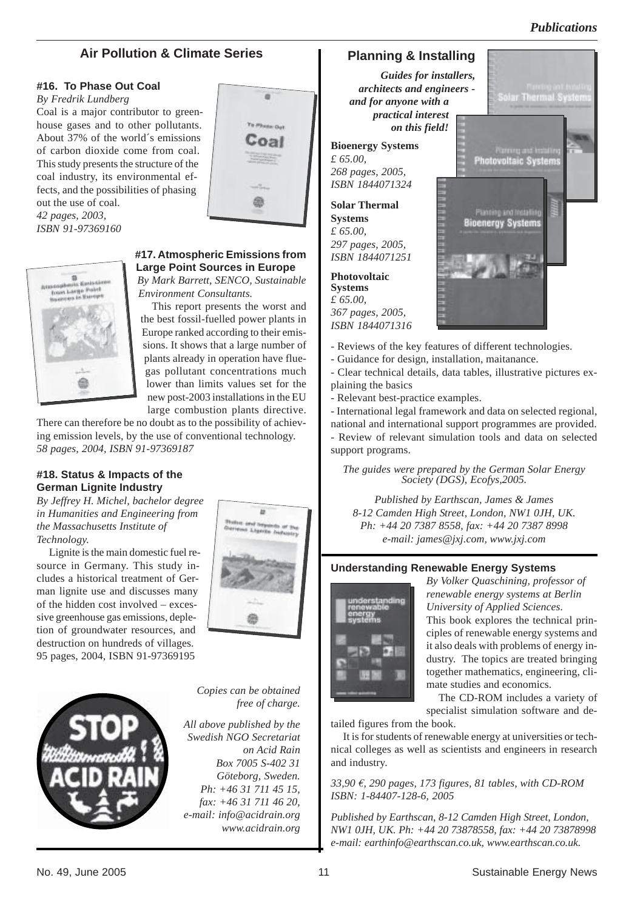#### **Air Pollution & Climate Series**

#### **#16. To Phase Out Coal**

*By Fredrik Lundberg* Coal is a major contributor to greenhouse gases and to other pollutants. About 37% of the world´s emissions of carbon dioxide come from coal. This study presents the structure of the coal industry, its environmental effects, and the possibilities of phasing out the use of coal. *42 pages, 2003,*





*ISBN 91-97369160*

#### **#17. Atmospheric Emissions from Large Point Sources in Europe**

*By Mark Barrett, SENCO, Sustainable Environment Consultants.*

This report presents the worst and the best fossil-fuelled power plants in Europe ranked according to their emissions. It shows that a large number of plants already in operation have fluegas pollutant concentrations much lower than limits values set for the new post-2003 installations in the EU large combustion plants directive.

There can therefore be no doubt as to the possibility of achieving emission levels, by the use of conventional technology. *58 pages, 2004, ISBN 91-97369187*

#### **#18. Status & Impacts of the German Lignite Industry**

*By Jeffrey H. Michel, bachelor degree in Humanities and Engineering from the Massachusetts Institute of Technology.*

Lignite is the main domestic fuel resource in Germany. This study includes a historical treatment of German lignite use and discusses many of the hidden cost involved – excessive greenhouse gas emissions, depletion of groundwater resources, and destruction on hundreds of villages. 95 pages, 2004, ISBN 91-97369195



*Copies can be obtained free of charge.*

b

*All above published by the Swedish NGO Secretariat on Acid Rain Box 7005 S-402 31 Göteborg, Sweden. Ph: +46 31 711 45 15, fax: +46 31 711 46 20, e-mail: info@acidrain.org www.acidrain.org*

#### **Planning & Installing**

*Guides for installers, architects and engineers and for anyone with a practical interest on this field!*

**Bioenergy Systems** *£ 65.00, 268 pages, 2005, ISBN 1844071324*

**Solar Thermal Systems** *£ 65.00, 297 pages, 2005, ISBN 1844071251*

**Photovoltaic Systems** *£ 65.00, 367 pages, 2005, ISBN 1844071316*



- Reviews of the key features of different technologies.
- Guidance for design, installation, maitanance.
- Clear technical details, data tables, illustrative pictures explaining the basics
- Relevant best-practice examples.

- International legal framework and data on selected regional, national and international support programmes are provided. - Review of relevant simulation tools and data on selected support programs.

*The guides were prepared by the German Solar Energy Society (DGS), Ecofys,2005.*

*Published by Earthscan, James & James 8-12 Camden High Street, London, NW1 0JH, UK. Ph: +44 20 7387 8558, fax: +44 20 7387 8998 e-mail: james@jxj.com, www.jxj.com*

#### **Understanding Renewable Energy Systems**



*By Volker Quaschining, professor of renewable energy systems at Berlin University of Applied Sciences.* This book explores the technical principles of renewable energy systems and it also deals with problems of energy industry. The topics are treated bringing together mathematics, engineering, climate studies and economics.

The CD-ROM includes a variety of specialist simulation software and de-

tailed figures from the book.

It is for students of renewable energy at universities or technical colleges as well as scientists and engineers in research and industry.

*33,90* €*, 290 pages, 173 figures, 81 tables, with CD-ROM ISBN: 1-84407-128-6, 2005*

*Published by Earthscan, 8-12 Camden High Street, London, NW1 0JH, UK. Ph: +44 20 73878558, fax: +44 20 73878998 e-mail: earthinfo@earthscan.co.uk, www.earthscan.co.uk.*